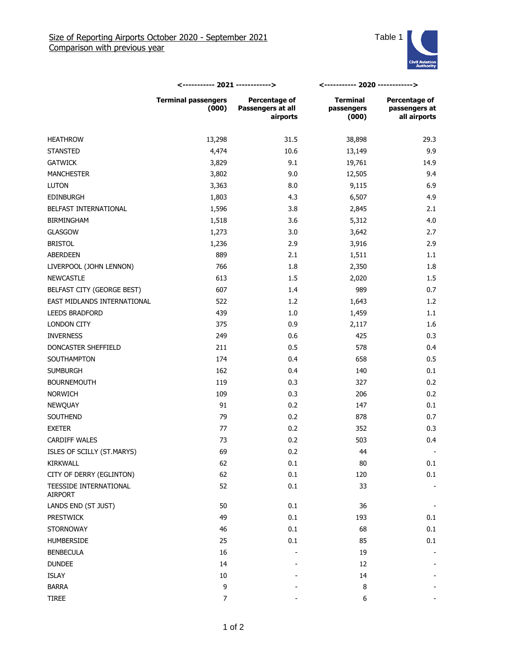

|                                   | <----------- 2021 ------------>     |                                                | <----------- 2020 ------------>        |                                                |
|-----------------------------------|-------------------------------------|------------------------------------------------|----------------------------------------|------------------------------------------------|
|                                   | <b>Terminal passengers</b><br>(000) | Percentage of<br>Passengers at all<br>airports | <b>Terminal</b><br>passengers<br>(000) | Percentage of<br>passengers at<br>all airports |
| <b>HEATHROW</b>                   | 13,298                              | 31.5                                           | 38,898                                 | 29.3                                           |
| <b>STANSTED</b>                   | 4,474                               | 10.6                                           | 13,149                                 | 9.9                                            |
| <b>GATWICK</b>                    | 3,829                               | 9.1                                            | 19,761                                 | 14.9                                           |
| <b>MANCHESTER</b>                 | 3,802                               | 9.0                                            | 12,505                                 | 9.4                                            |
| <b>LUTON</b>                      | 3,363                               | 8.0                                            | 9,115                                  | 6.9                                            |
| <b>EDINBURGH</b>                  | 1,803                               | 4.3                                            | 6,507                                  | 4.9                                            |
| BELFAST INTERNATIONAL             | 1,596                               | 3.8                                            | 2,845                                  | 2.1                                            |
| <b>BIRMINGHAM</b>                 | 1,518                               | 3.6                                            | 5,312                                  | 4.0                                            |
| <b>GLASGOW</b>                    | 1,273                               | 3.0                                            | 3,642                                  | 2.7                                            |
| <b>BRISTOL</b>                    | 1,236                               | 2.9                                            | 3,916                                  | 2.9                                            |
| ABERDEEN                          | 889                                 | 2.1                                            | 1,511                                  | 1.1                                            |
| LIVERPOOL (JOHN LENNON)           | 766                                 | 1.8                                            | 2,350                                  | 1.8                                            |
| <b>NEWCASTLE</b>                  | 613                                 | 1.5                                            | 2,020                                  | 1.5                                            |
| BELFAST CITY (GEORGE BEST)        | 607                                 | 1.4                                            | 989                                    | 0.7                                            |
| EAST MIDLANDS INTERNATIONAL       | 522                                 | 1.2                                            | 1,643                                  | 1.2                                            |
| <b>LEEDS BRADFORD</b>             | 439                                 | 1.0                                            | 1,459                                  | 1.1                                            |
| <b>LONDON CITY</b>                | 375                                 | 0.9                                            | 2,117                                  | 1.6                                            |
| <b>INVERNESS</b>                  | 249                                 | 0.6                                            | 425                                    | 0.3                                            |
| DONCASTER SHEFFIELD               | 211                                 | 0.5                                            | 578                                    | 0.4                                            |
| SOUTHAMPTON                       | 174                                 | 0.4                                            | 658                                    | 0.5                                            |
| <b>SUMBURGH</b>                   | 162                                 | 0.4                                            | 140                                    | 0.1                                            |
| <b>BOURNEMOUTH</b>                | 119                                 | 0.3                                            | 327                                    | 0.2                                            |
| <b>NORWICH</b>                    | 109                                 | 0.3                                            | 206                                    | 0.2                                            |
| <b>NEWQUAY</b>                    | 91                                  | 0.2                                            | 147                                    | 0.1                                            |
| <b>SOUTHEND</b>                   | 79                                  | 0.2                                            | 878                                    | 0.7                                            |
| <b>EXETER</b>                     | 77                                  | 0.2                                            | 352                                    | 0.3                                            |
| <b>CARDIFF WALES</b>              | 73                                  | 0.2                                            | 503                                    | 0.4                                            |
| ISLES OF SCILLY (ST.MARYS)        | 69                                  | 0.2                                            | 44                                     |                                                |
| KIRKWALL                          | 62                                  | $0.1\,$                                        | $80\,$                                 | 0.1                                            |
| CITY OF DERRY (EGLINTON)          | 62                                  | 0.1                                            | 120                                    | 0.1                                            |
| TEESSIDE INTERNATIONAL<br>AIRPORT | 52                                  | $0.1\,$                                        | 33                                     |                                                |
| LANDS END (ST JUST)               | 50                                  | 0.1                                            | 36                                     |                                                |
| <b>PRESTWICK</b>                  | 49                                  | $0.1\,$                                        | 193                                    | 0.1                                            |
| <b>STORNOWAY</b>                  | 46                                  | 0.1                                            | 68                                     | 0.1                                            |
| <b>HUMBERSIDE</b>                 | 25                                  | 0.1                                            | 85                                     | 0.1                                            |
| <b>BENBECULA</b>                  | 16                                  |                                                | 19                                     |                                                |
| <b>DUNDEE</b>                     | 14                                  |                                                | 12                                     |                                                |
| ISLAY                             | 10                                  |                                                | 14                                     |                                                |
| <b>BARRA</b>                      | 9                                   |                                                | 8                                      |                                                |
| <b>TIREE</b>                      | $\overline{7}$                      |                                                | 6                                      |                                                |